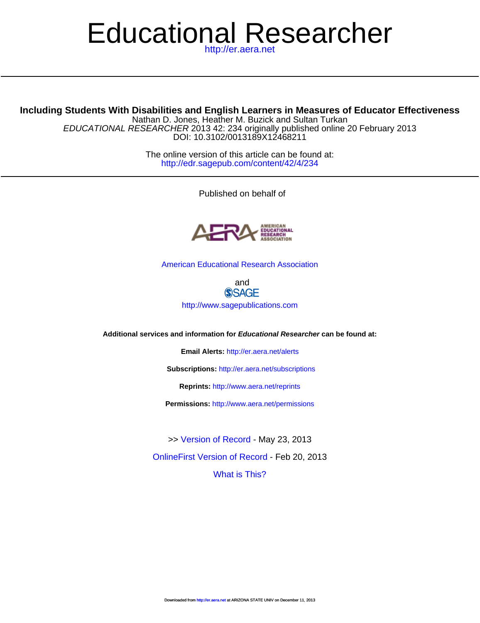## Educational Researcher <http://er.aera.net>

## **Including Students With Disabilities and En[glish Learners in Meas](http://er.aera.net/subscriptions)ures of Educator Effectiveness**

DOI: 10.3[102/0013189X12468211](http://www.aera.net/reprints) EDUCATIONAL RESEARCHER 2013 42: 234 originally published online 20 February 2013 Nathan D. Jones, Heather M. Buzick and Sultan Turkan

> <http://edr.sagepub.com/content/42/4/234> The online version of this article can be found at:

> > Published on behalf of



[American Educational Research Association](http://www.aera.net)

[and](http://online.sagepub.com/site/sphelp/vorhelp.xhtml) **SSAGE** <http://www.sagepublications.com>

**Additional services and information for Educational Researcher can be found at:**

**Email Alerts:** <http://er.aera.net/alerts>

**Subscriptions:** <http://er.aera.net/subscriptions>

**Reprints:** <http://www.aera.net/reprints>

**Permissions:** <http://www.aera.net/permissions>

>> [Version of Record -](http://edr.sagepub.com/content/42/4/234.full.pdf) May 23, 2013

[OnlineFirst Version of Record -](http://edr.sagepub.com/content/early/2013/02/20/0013189X12468211.full.pdf) Feb 20, 2013

[What is This?](http://online.sagepub.com/site/sphelp/vorhelp.xhtml)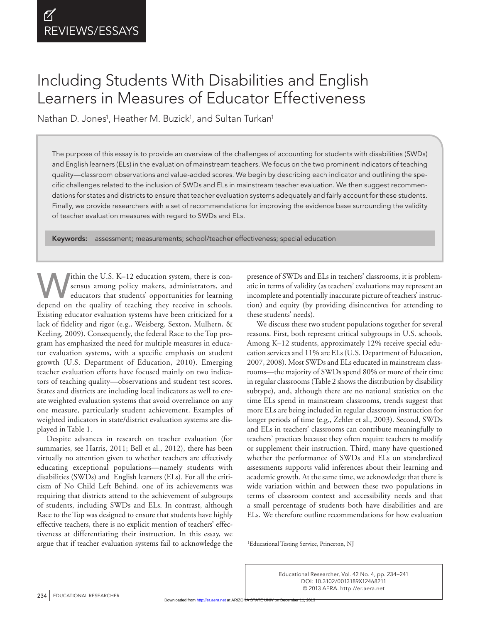# Including Students With Disabilities and English Learners in Measures of Educator Effectiveness

Nathan D. Jones<sup>1</sup>, Heather M. Buzick<sup>1</sup>, and Sultan Turkan<sup>1</sup>

The purpose of this essay is to provide an overview of the challenges of accounting for students with disabilities (SWDs) and English learners (ELs) in the evaluation of mainstream teachers. We focus on the two prominent indicators of teaching quality—classroom observations and value-added scores. We begin by describing each indicator and outlining the specific challenges related to the inclusion of SWDs and ELs in mainstream teacher evaluation. We then suggest recommendations for states and districts to ensure that teacher evaluation systems adequately and fairly account for these students. Finally, we provide researchers with a set of recommendations for improving the evidence base surrounding the validity of teacher evaluation measures with regard to SWDs and ELs.

Keywords: assessment; measurements; school/teacher effectiveness; special education

Within the U.S. K–12 education system, there is con-<br>educators among policy makers, administrators, and<br>educators that students' opportunities for learning<br>depend on the quality of teaching they receive in schools sensus among policy makers, administrators, and depend on the quality of teaching they receive in schools. Existing educator evaluation systems have been criticized for a lack of fidelity and rigor (e.g., Weisberg, Sexton, Mulhern, & Keeling, 2009). Consequently, the federal Race to the Top program has emphasized the need for multiple measures in educator evaluation systems, with a specific emphasis on student growth (U.S. Department of Education, 2010). Emerging teacher evaluation efforts have focused mainly on two indicators of teaching quality—observations and student test scores. States and districts are including local indicators as well to create weighted evaluation systems that avoid overreliance on any one measure, particularly student achievement. Examples of weighted indicators in state/district evaluation systems are displayed in Table 1.

Despite advances in research on teacher evaluation (for summaries, see Harris, 2011; Bell et al., 2012), there has been virtually no attention given to whether teachers are effectively educating exceptional populations—namely students with disabilities (SWDs) and English learners (ELs). For all the criticism of No Child Left Behind, one of its achievements was requiring that districts attend to the achievement of subgroups of students, including SWDs and ELs. In contrast, although Race to the Top was designed to ensure that students have highly effective teachers, there is no explicit mention of teachers' effectiveness at differentiating their instruction. In this essay, we argue that if teacher evaluation systems fail to acknowledge the

presence of SWDs and ELs in teachers' classrooms, it is problematic in terms of validity (as teachers' evaluations may represent an incomplete and potentially inaccurate picture of teachers' instruction) and equity (by providing disincentives for attending to these students' needs).

We discuss these two student populations together for several reasons. First, both represent critical subgroups in U.S. schools. Among K–12 students, approximately 12% receive special education services and 11% are ELs (U.S. Department of Education, 2007, 2008). Most SWDs and ELs educated in mainstream classrooms—the majority of SWDs spend 80% or more of their time in regular classrooms (Table 2 shows the distribution by disability subtype), and, although there are no national statistics on the time ELs spend in mainstream classrooms, trends suggest that more ELs are being included in regular classroom instruction for longer periods of time (e.g., Zehler et al., 2003). Second, SWDs and ELs in teachers' classrooms can contribute meaningfully to teachers' practices because they often require teachers to modify or supplement their instruction. Third, many have questioned whether the performance of SWDs and ELs on standardized assessments supports valid inferences about their learning and academic growth. At the same time, we acknowledge that there is wide variation within and between these two populations in terms of classroom context and accessibility needs and that a small percentage of students both have disabilities and are ELs. We therefore outline recommendations for how evaluation

<sup>1</sup>Educational Testing Service, Princeton, NJ

[Ed](http://er.aera.net)ucational Researcher, Vol. 42 No. 4, pp. 234–241 DOI: 10.3102/0013189X12468211 © 2013 AERA. http://er.aera.net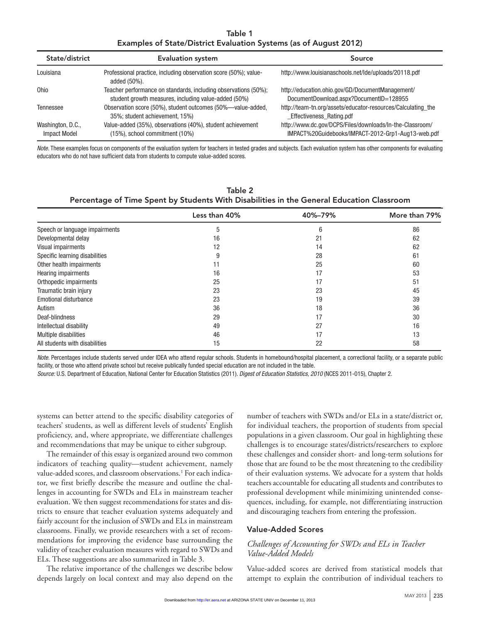Table 1 Examples of State/District Evaluation Systems (as of August 2012)

| State/district      | <b>Evaluation system</b>                                                                                                | Source                                                                                      |
|---------------------|-------------------------------------------------------------------------------------------------------------------------|---------------------------------------------------------------------------------------------|
| Louisiana           | Professional practice, including observation score (50%); value-<br>added (50%).                                        | http://www.louisianaschools.net/Ide/uploads/20118.pdf                                       |
| <b>Ohio</b>         | Teacher performance on standards, including observations (50%);<br>student growth measures, including value-added (50%) | http://education.ohio.gov/GD/DocumentManagement/<br>DocumentDownload.aspx?DocumentID=128955 |
| Tennessee           | Observation score (50%), student outcomes (50%-value-added,<br>35%; student achievement, 15%)                           | http://team-tn.org/assets/educator-resources/Calculating_the<br>Effectiveness Rating.pdf    |
| Washington, D.C.,   | Value-added (35%), observations (40%), student achievement                                                              | http://www.dc.gov/DCPS/Files/downloads/In-the-Classroom/                                    |
| <b>Impact Model</b> | (15%), school commitment (10%)                                                                                          | IMPACT%20Guidebooks/IMPACT-2012-Grp1-Aug13-web.pdf                                          |

*Note.* These examples focus on components of the evaluation system for teachers in tested grades and subjects. Each evaluation system has other components for evaluating educators who do not have sufficient data from students to compute value-added scores.

Table 2 Percentage of Time Spent by Students With Disabilities in the General Education Classroom

|                                | Less than 40% | 40%-79% | More than 79% |
|--------------------------------|---------------|---------|---------------|
| Speech or language impairments | 5             | 6       | 86            |
| Developmental delay            | 16            | 21      | 62            |
| Visual impairments             | 12            | 14      | 62            |
| Specific learning disabilities | 9             | 28      | 61            |
| Other health impairments       |               | 25      | 60            |
| Hearing impairments            | 16            | 17      | 53            |
| Orthopedic impairments         | 25            | 17      | 51            |
| Traumatic brain injury         | 23            | 23      | 45            |
| <b>Emotional disturbance</b>   | 23            | 19      | 39            |
| Autism                         | 36            | 18      | 36            |
| Deaf-blindness                 | 29            | 17      | 30            |
| Intellectual disability        | 49            | 27      | 16            |
| Multiple disabilities          | 46            | 17      | 13            |
| All students with disabilities | 15            | 22      | 58            |

*Note.* Percentages include students served under IDEA who attend regular schools. Students in homebound/hospital placement, a correctional facility, or a separate public facility, or those who attend private school but receive publically funded special education are not included in the table.

*Source:* U.S. Department of Education, National Center for Education Statistics (2011). *Digest of Education Statistics, 2010* (NCES 2011-015), Chapter 2.

systems can better attend to the specific disability categories of teachers' students, as well as different levels of students' English proficiency, and, where appropriate, we differentiate challenges and recommendations that may be unique to either subgroup.

The remainder of this essay is organized around two common indicators of teaching quality—student achievement, namely value-added scores, and classroom observations.1 For each indicator, we first briefly describe the measure and outline the challenges in accounting for SWDs and ELs in mainstream teacher evaluation. We then suggest recommendations for states and districts to ensure that teacher evaluation systems adequately and fairly account for the inclusion of SWDs and ELs in mainstream classrooms. Finally, we provide researchers with a set of recommendations for improving the evidence base surrounding the validity of teacher evaluation measures with regard to SWDs and ELs. These suggestions are also summarized in Table 3.

The relative importance of the challenges we describe below depends largely on local context and may also depend on the

number of teachers with SWDs and/or ELs in a state/district or, for individual teachers, the proportion of students from special populations in a given classroom. Our goal in highlighting these challenges is to encourage states/districts/researchers to explore these challenges and consider short- and long-term solutions for those that are found to be the most threatening to the credibility of their evaluation systems. We advocate for a system that holds teachers accountable for educating all students and contributes to professional development while minimizing unintended consequences, including, for example, not differentiating instruction and discouraging teachers from entering the profession.

#### Value-Added Scores

#### *Challenges of Accounting for SWDs and ELs in Teacher Value-Added Models*

Value-added scores are derived from statistical models that a[ttempt to e](http://er.aera.net)xplain the contribution of individual teachers to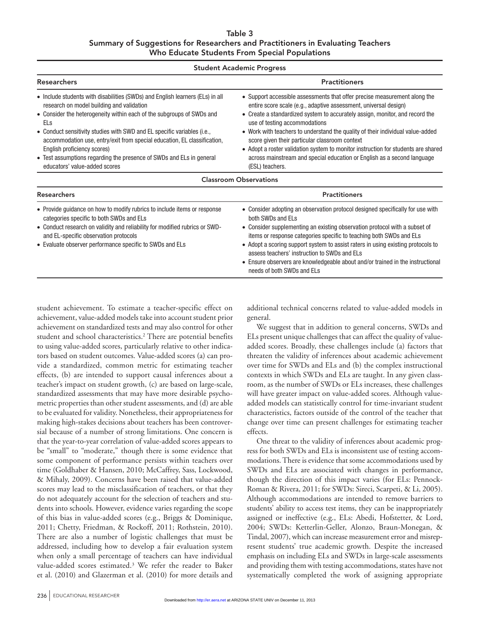Table 3 Summary of Suggestions for Researchers and Practitioners in Evaluating Teachers Who Educate Students From Special Populations

| <b>Student Academic Progress</b>                                                                                                                                                                                                                                                                                                                                                                                                                                                                          |                                                                                                                                                                                                                                                                                                                                                                                                                                                                                                                                                                                       |  |  |
|-----------------------------------------------------------------------------------------------------------------------------------------------------------------------------------------------------------------------------------------------------------------------------------------------------------------------------------------------------------------------------------------------------------------------------------------------------------------------------------------------------------|---------------------------------------------------------------------------------------------------------------------------------------------------------------------------------------------------------------------------------------------------------------------------------------------------------------------------------------------------------------------------------------------------------------------------------------------------------------------------------------------------------------------------------------------------------------------------------------|--|--|
| <b>Researchers</b>                                                                                                                                                                                                                                                                                                                                                                                                                                                                                        | <b>Practitioners</b>                                                                                                                                                                                                                                                                                                                                                                                                                                                                                                                                                                  |  |  |
| • Include students with disabilities (SWDs) and English learners (ELs) in all<br>research on model building and validation<br>• Consider the heterogeneity within each of the subgroups of SWDs and<br>ELs<br>• Conduct sensitivity studies with SWD and EL specific variables (i.e.,<br>accommodation use, entry/exit from special education, EL classification,<br>English proficiency scores)<br>• Test assumptions regarding the presence of SWDs and ELs in general<br>educators' value-added scores | • Support accessible assessments that offer precise measurement along the<br>entire score scale (e.g., adaptive assessment, universal design)<br>• Create a standardized system to accurately assign, monitor, and record the<br>use of testing accommodations<br>• Work with teachers to understand the quality of their individual value-added<br>score given their particular classroom context<br>• Adopt a roster validation system to monitor instruction for students are shared<br>across mainstream and special education or English as a second language<br>(ESL) teachers. |  |  |
|                                                                                                                                                                                                                                                                                                                                                                                                                                                                                                           | <b>Classroom Observations</b>                                                                                                                                                                                                                                                                                                                                                                                                                                                                                                                                                         |  |  |
| <b>Researchers</b>                                                                                                                                                                                                                                                                                                                                                                                                                                                                                        | <b>Practitioners</b>                                                                                                                                                                                                                                                                                                                                                                                                                                                                                                                                                                  |  |  |
| • Provide guidance on how to modify rubrics to include items or response<br>categories specific to both SWDs and ELs<br>• Conduct research on validity and reliability for modified rubrics or SWD-<br>and EL-specific observation protocols<br>• Evaluate observer performance specific to SWDs and ELs                                                                                                                                                                                                  | • Consider adopting an observation protocol designed specifically for use with<br>both SWDs and ELs<br>• Consider supplementing an existing observation protocol with a subset of<br>items or response categories specific to teaching both SWDs and ELs<br>• Adopt a scoring support system to assist raters in using existing protocols to<br>assess teachers' instruction to SWDs and ELs<br>• Ensure observers are knowledgeable about and/or trained in the instructional<br>needs of both SWDs and ELs                                                                          |  |  |

student achievement. To estimate a teacher-specific effect on achievement, value-added models take into account student prior achievement on standardized tests and may also control for other student and school characteristics.2 There are potential benefits to using value-added scores, particularly relative to other indicators based on student outcomes. Value-added scores (a) can provide a standardized, common metric for estimating teacher effects, (b) are intended to support causal inferences about a teacher's impact on student growth, (c) are based on large-scale, standardized assessments that may have more desirable psychometric properties than other student assessments, and (d) are able to be evaluated for validity. Nonetheless, their appropriateness for making high-stakes decisions about teachers has been controversial because of a number of strong limitations. One concern is that the year-to-year correlation of value-added scores appears to be "small" to "moderate," though there is some evidence that some component of performance persists within teachers over time (Goldhaber & Hansen, 2010; McCaffrey, Sass, Lockwood, & Mihaly, 2009). Concerns have been raised that value-added scores may lead to the misclassification of teachers, or that they do not adequately account for the selection of teachers and students into schools. However, evidence varies regarding the scope of this bias in value-added scores (e.g., Briggs & Dominique, 2011; Chetty, Friedman, & Rockoff, 2011; Rothstein, 2010). There are also a number of logistic challenges that must be addressed, including how to develop a fair evaluation system when only a small percentage of teachers can have individual value-added scores estimated.3 We refer the reader to Baker et al. (2010) and Glazerman et al. (2010) for more details and

additional technical concerns related to value-added models in general.

We suggest that in addition to general concerns, SWDs and ELs present unique challenges that can affect the quality of valueadded scores. Broadly, these challenges include (a) factors that threaten the validity of inferences about academic achievement over time for SWDs and ELs and (b) the complex instructional contexts in which SWDs and ELs are taught. In any given classroom, as the number of SWDs or ELs increases, these challenges will have greater impact on value-added scores. Although valueadded models can statistically control for time-invariant student characteristics, factors outside of the control of the teacher that change over time can present challenges for estimating teacher effects.

One threat to the validity of inferences about academic progress for both SWDs and ELs is inconsistent use of testing accommodations. There is evidence that some accommodations used by SWDs and ELs are associated with changes in performance, though the direction of this impact varies (for ELs: Pennock-Roman & Rivera, 2011; for SWDs: Sireci, Scarpeti, & Li, 2005). Although accommodations are intended to remove barriers to students' ability to access test items, they can be inappropriately assigned or ineffective (e.g., ELs: Abedi, Hofstetter, & Lord, 2004; SWDs: Ketterlin-Geller, Alonzo, Braun-Monegan, & Tindal, 2007), which can increase measurement error and misrepresent students' true academic growth. Despite the increased emphasis on including ELs and SWDs in large-scale assessments and providing them with testing accommodations, states have not s[ystematicall](http://er.aera.net)y completed the work of assigning appropriate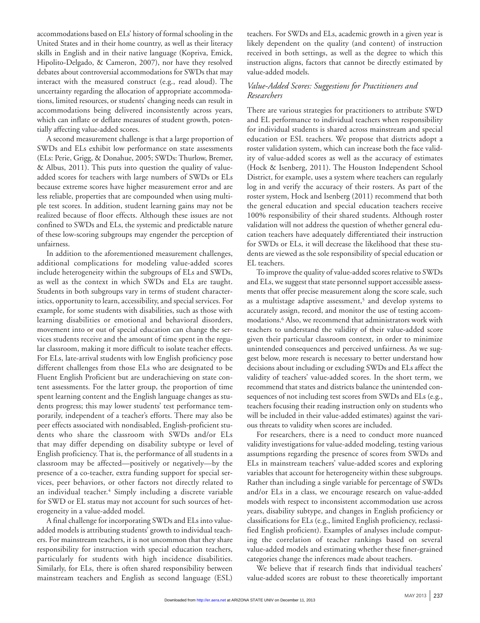accommodations based on ELs' history of formal schooling in the United States and in their home country, as well as their literacy skills in English and in their native language (Kopriva, Emick, Hipolito-Delgado, & Cameron, 2007), nor have they resolved debates about controversial accommodations for SWDs that may interact with the measured construct (e.g., read aloud). The uncertainty regarding the allocation of appropriate accommodations, limited resources, or students' changing needs can result in accommodations being delivered inconsistently across years, which can inflate or deflate measures of student growth, potentially affecting value-added scores.

A second measurement challenge is that a large proportion of SWDs and ELs exhibit low performance on state assessments (ELs: Perie, Grigg, & Donahue, 2005; SWDs: Thurlow, Bremer, & Albus, 2011). This puts into question the quality of valueadded scores for teachers with large numbers of SWDs or ELs because extreme scores have higher measurement error and are less reliable, properties that are compounded when using multiple test scores. In addition, student learning gains may not be realized because of floor effects. Although these issues are not confined to SWDs and ELs, the systemic and predictable nature of these low-scoring subgroups may engender the perception of unfairness.

In addition to the aforementioned measurement challenges, additional complications for modeling value-added scores include heterogeneity within the subgroups of ELs and SWDs, as well as the context in which SWDs and ELs are taught. Students in both subgroups vary in terms of student characteristics, opportunity to learn, accessibility, and special services. For example, for some students with disabilities, such as those with learning disabilities or emotional and behavioral disorders, movement into or out of special education can change the services students receive and the amount of time spent in the regular classroom, making it more difficult to isolate teacher effects. For ELs, late-arrival students with low English proficiency pose different challenges from those ELs who are designated to be Fluent English Proficient but are underachieving on state content assessments. For the latter group, the proportion of time spent learning content and the English language changes as students progress; this may lower students' test performance temporarily, independent of a teacher's efforts. There may also be peer effects associated with nondisabled, English-proficient students who share the classroom with SWDs and/or ELs that may differ depending on disability subtype or level of English proficiency. That is, the performance of all students in a classroom may be affected—positively or negatively—by the presence of a co-teacher, extra funding support for special services, peer behaviors, or other factors not directly related to an individual teacher.<sup>4</sup> Simply including a discrete variable for SWD or EL status may not account for such sources of heterogeneity in a value-added model.

A final challenge for incorporating SWDs and ELs into valueadded models is attributing students' growth to individual teachers. For mainstream teachers, it is not uncommon that they share responsibility for instruction with special education teachers, particularly for students with high incidence disabilities. Similarly, for ELs, there is often shared responsibility between mainstream teachers and English as second language (ESL)

teachers. For SWDs and ELs, academic growth in a given year is likely dependent on the quality (and content) of instruction received in both settings, as well as the degree to which this instruction aligns, factors that cannot be directly estimated by value-added models.

## *Value-Added Scores: Suggestions for Practitioners and Researchers*

There are various strategies for practitioners to attribute SWD and EL performance to individual teachers when responsibility for individual students is shared across mainstream and special education or ESL teachers. We propose that districts adopt a roster validation system, which can increase both the face validity of value-added scores as well as the accuracy of estimates (Hock & Isenberg, 2011). The Houston Independent School District, for example, uses a system where teachers can regularly log in and verify the accuracy of their rosters. As part of the roster system, Hock and Isenberg (2011) recommend that both the general education and special education teachers receive 100% responsibility of their shared students. Although roster validation will not address the question of whether general education teachers have adequately differentiated their instruction for SWDs or ELs, it will decrease the likelihood that these students are viewed as the sole responsibility of special education or EL teachers.

To improve the quality of value-added scores relative to SWDs and ELs, we suggest that state personnel support accessible assessments that offer precise measurement along the score scale, such as a multistage adaptive assessment,<sup>5</sup> and develop systems to accurately assign, record, and monitor the use of testing accommodations.6 Also, we recommend that administrators work with teachers to understand the validity of their value-added score given their particular classroom context, in order to minimize unintended consequences and perceived unfairness. As we suggest below, more research is necessary to better understand how decisions about including or excluding SWDs and ELs affect the validity of teachers' value-added scores. In the short term, we recommend that states and districts balance the unintended consequences of not including test scores from SWDs and ELs (e.g., teachers focusing their reading instruction only on students who will be included in their value-added estimates) against the various threats to validity when scores are included.

For researchers, there is a need to conduct more nuanced validity investigations for value-added modeling, testing various assumptions regarding the presence of scores from SWDs and ELs in mainstream teachers' value-added scores and exploring variables that account for heterogeneity within these subgroups. Rather than including a single variable for percentage of SWDs and/or ELs in a class, we encourage research on value-added models with respect to inconsistent accommodation use across years, disability subtype, and changes in English proficiency or classifications for ELs (e.g., limited English proficiency, reclassified English proficient). Examples of analyses include computing the correlation of teacher rankings based on several value-added models and estimating whether these finer-grained categories change the inferences made about teachers.

We believe that if research finds that individual teachers' v[alue-added](http://er.aera.net) scores are robust to these theoretically important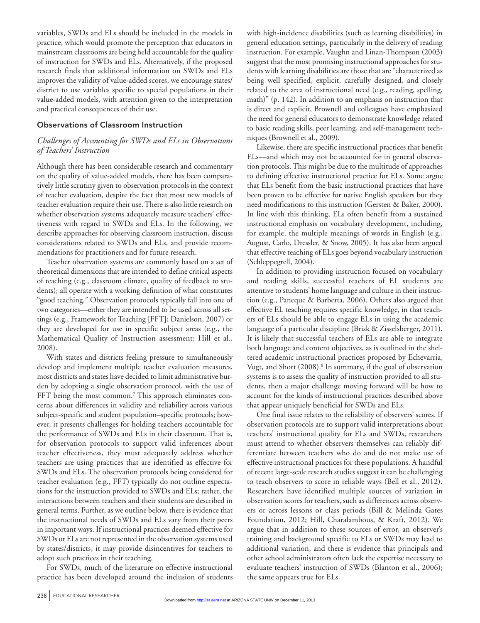variables, SWDs and ELs should be included in the models in practice, which would promote the perception that educators in mainstream classrooms are being held accountable for the quality of instruction for SWDs and ELs. Alternatively, if the proposed research finds that additional information on SWDs and ELs improves the validity of value-added scores, we encourage states/ district to use variables specific to special populations in their value-added models, with attention given to the interpretation and practical consequences of their use.

#### Observations of Classroom Instruction

### *Challenges of Accounting for SWDs and ELs in Observations of Teachers' Instruction*

Although there has been considerable research and commentary on the quality of value-added models, there has been comparatively little scrutiny given to observation protocols in the context of teacher evaluation, despite the fact that most new models of teacher evaluation require their use. There is also little research on whether observation systems adequately measure teachers' effectiveness with regard to SWDs and ELs. In the following, we describe approaches for observing classroom instruction, discuss considerations related to SWDs and ELs, and provide recommendations for practitioners and for future research.

Teacher observation systems are commonly based on a set of theoretical dimensions that are intended to define critical aspects of teaching (e.g., classroom climate, quality of feedback to students); all operate with a working definition of what constitutes "good teaching." Observation protocols typically fall into one of two categories—either they are intended to be used across all settings (e.g., Framework for Teaching [FFT]; Danielson, 2007) or they are developed for use in specific subject areas (e.g., the Mathematical Quality of Instruction assessment; Hill et al., 2008).

With states and districts feeling pressure to simultaneously develop and implement multiple teacher evaluation measures, most districts and states have decided to limit administrative burden by adopting a single observation protocol, with the use of FFT being the most common.<sup>7</sup> This approach eliminates concerns about differences in validity and reliability across various subject-specific and student population–specific protocols; however, it presents challenges for holding teachers accountable for the performance of SWDs and ELs in their classroom. That is, for observation protocols to support valid inferences about teacher effectiveness, they must adequately address whether teachers are using practices that are identified as effective for SWDs and ELs. The observation protocols being considered for teacher evaluation (e.g., FFT) typically do not outline expectations for the instruction provided to SWDs and ELs; rather, the interactions between teachers and their students are described in general terms. Further, as we outline below, there is evidence that the instructional needs of SWDs and ELs vary from their peers in important ways. If instructional practices deemed effective for SWDs or ELs are not represented in the observation systems used by states/districts, it may provide disincentives for teachers to adopt such practices in their teaching.

For SWDs, much of the literature on effective instructional practice has been developed around the inclusion of students with high-incidence disabilities (such as learning disabilities) in general education settings, particularly in the delivery of reading instruction. For example, Vaughn and Linan-Thompson (2003) suggest that the most promising instructional approaches for students with learning disabilities are those that are "characterized as being well specified, explicit, carefully designed, and closely related to the area of instructional need (e.g., reading, spelling, math)" (p. 142). In addition to an emphasis on instruction that is direct and explicit, Brownell and colleagues have emphasized the need for general educators to demonstrate knowledge related to basic reading skills, peer learning, and self-management techniques (Brownell et al., 2009).

Likewise, there are specific instructional practices that benefit ELs—and which may not be accounted for in general observation protocols. This might be due to the multitude of approaches to defining effective instructional practice for ELs. Some argue that ELs benefit from the basic instructional practices that have been proven to be effective for native English speakers but they need modifications to this instruction (Gersten & Baker, 2000). In line with this thinking, ELs often benefit from a sustained instructional emphasis on vocabulary development, including, for example, the multiple meanings of words in English (e.g., August, Carlo, Dressler, & Snow, 2005). It has also been argued that effective teaching of ELs goes beyond vocabulary instruction (Schleppegrell, 2004).

In addition to providing instruction focused on vocabulary and reading skills, successful teachers of EL students are attentive to students' home language and culture in their instruction (e.g., Paneque & Barbetta, 2006). Others also argued that effective EL teaching requires specific knowledge, in that teachers of ELs should be able to engage ELs in using the academic language of a particular discipline (Brisk & Zisselsberger, 2011). It is likely that successful teachers of ELs are able to integrate both language and content objectives, as is outlined in the sheltered academic instructional practices proposed by Echevarria, Vogt, and Short (2008).8 In summary, if the goal of observation systems is to assess the quality of instruction provided to all students, then a major challenge moving forward will be how to account for the kinds of instructional practices described above that appear uniquely beneficial for SWDs and ELs.

One final issue relates to the reliability of observers' scores. If observation protocols are to support valid interpretations about teachers' instructional quality for ELs and SWDs, researchers must attend to whether observers themselves can reliably differentiate between teachers who do and do not make use of effective instructional practices for these populations. A handful of recent large-scale research studies suggest it can be challenging to teach observers to score in reliable ways (Bell et al., 2012). Researchers have identified multiple sources of variation in observation scores for teachers, such as differences across observers or across lessons or class periods (Bill & Melinda Gates Foundation, 2012; Hill, Charalambous, & Kraft, 2012). We argue that in addition to these sources of error, an observer's training and background specific to ELs or SWDs may lead to additional variation, and there is evidence that principals and other school administrators often lack the expertise necessary to evaluate teachers' instruction of SWDs (Blanton et al., 2006); t[he same app](http://er.aera.net)ears true for ELs.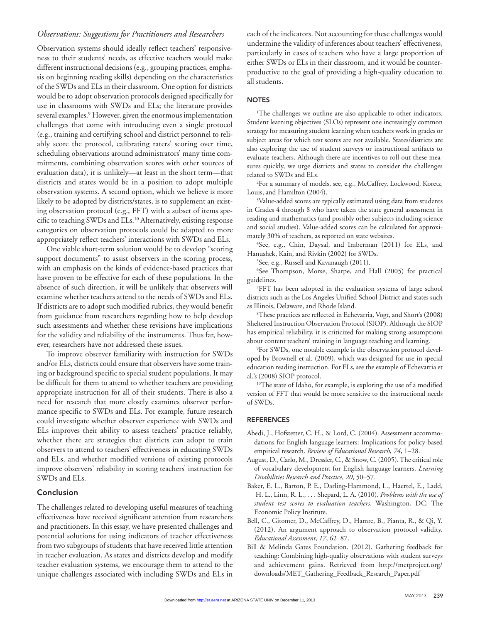## *Observations: Suggestions for Practitioners and Researchers*

Observation systems should ideally reflect teachers' responsiveness to their students' needs, as effective teachers would make different instructional decisions (e.g., grouping practices, emphasis on beginning reading skills) depending on the characteristics of the SWDs and ELs in their classroom. One option for districts would be to adopt observation protocols designed specifically for use in classrooms with SWDs and ELs; the literature provides several examples.<sup>9</sup> However, given the enormous implementation challenges that come with introducing even a single protocol (e.g., training and certifying school and district personnel to reliably score the protocol, calibrating raters' scoring over time, scheduling observations around administrators' many time commitments, combining observation scores with other sources of evaluation data), it is unlikely—at least in the short term—that districts and states would be in a position to adopt multiple observation systems. A second option, which we believe is more likely to be adopted by districts/states, is to supplement an existing observation protocol (e.g., FFT) with a subset of items specific to teaching SWDs and ELs.10 Alternatively, existing response categories on observation protocols could be adapted to more appropriately reflect teachers' interactions with SWDs and ELs.

One viable short-term solution would be to develop "scoring support documents" to assist observers in the scoring process, with an emphasis on the kinds of evidence-based practices that have proven to be effective for each of these populations. In the absence of such direction, it will be unlikely that observers will examine whether teachers attend to the needs of SWDs and ELs. If districts are to adopt such modified rubrics, they would benefit from guidance from researchers regarding how to help develop such assessments and whether these revisions have implications for the validity and reliability of the instruments. Thus far, however, researchers have not addressed these issues.

To improve observer familiarity with instruction for SWDs and/or ELs, districts could ensure that observers have some training or background specific to special student populations. It may be difficult for them to attend to whether teachers are providing appropriate instruction for all of their students. There is also a need for research that more closely examines observer performance specific to SWDs and ELs. For example, future research could investigate whether observer experience with SWDs and ELs improves their ability to assess teachers' practice reliably, whether there are strategies that districts can adopt to train observers to attend to teachers' effectiveness in educating SWDs and ELs, and whether modified versions of existing protocols improve observers' reliability in scoring teachers' instruction for SWDs and ELs.

## Conclusion

The challenges related to developing useful measures of teaching effectiveness have received significant attention from researchers and practitioners. In this essay, we have presented challenges and potential solutions for using indicators of teacher effectiveness from two subgroups of students that have received little attention in teacher evaluation. As states and districts develop and modify teacher evaluation systems, we encourage them to attend to the unique challenges associated with including SWDs and ELs in

each of the indicators. Not accounting for these challenges would undermine the validity of inferences about teachers' effectiveness, particularly in cases of teachers who have a large proportion of either SWDs or ELs in their classroom, and it would be counterproductive to the goal of providing a high-quality education to all students.

#### **NOTES**

<sup>1</sup>The challenges we outline are also applicable to other indicators. Student learning objectives (SLOs) represent one increasingly common strategy for measuring student learning when teachers work in grades or subject areas for which test scores are not available. States/districts are also exploring the use of student surveys or instructional artifacts to evaluate teachers. Although there are incentives to roll out these measures quickly, we urge districts and states to consider the challenges related to SWDs and ELs.

2 For a summary of models, see, e.g., McCaffrey, Lockwood, Koretz, Louis, and Hamilton (2004).

3 Value-added scores are typically estimated using data from students in Grades 4 through 8 who have taken the state general assessment in reading and mathematics (and possibly other subjects including science and social studies). Value-added scores can be calculated for approximately 30% of teachers, as reported on state websites.

4See, e.g., Chin, Daysal, and Imberman (2011) for ELs, and Hanushek, Kain, and Rivkin (2002) for SWDs.

5See, e.g., Russell and Kavanaugh (2011).

6See Thompson, Morse, Sharpe, and Hall (2005) for practical guidelines.

7FFT has been adopted in the evaluation systems of large school districts such as the Los Angeles Unified School District and states such as Illinois, Delaware, and Rhode Island.

8 These practices are reflected in Echevarria, Vogt, and Short's (2008) Sheltered Instruction Observation Protocol (SIOP). Although the SIOP has empirical reliability, it is criticized for making strong assumptions about content teachers' training in language teaching and learning.

9For SWDs, one notable example is the observation protocol developed by Brownell et al. (2009), which was designed for use in special education reading instruction. For ELs, see the example of Echevarria et al.'s (2008) SIOP protocol.

<sup>10</sup>The state of Idaho, for example, is exploring the use of a modified version of FFT that would be more sensitive to the instructional needs of SWDs.

#### **REFERENCES**

- Abedi, J., Hofstetter, C. H., & Lord, C. (2004). Assessment accommodations for English language learners: Implications for policy-based empirical research. *Review of Educational Research*, *74*, 1–28.
- August, D., Carlo, M., Dressler, C., & Snow, C. (2005). The critical role of vocabulary development for English language learners. *Learning Disabilities Research and Practice*, *20*, 50–57.
- Baker, E. L., Barton, P. E., Darling-Hammond, L., Haertel, E., Ladd, H. L., Linn, R. L., . . . Shepard, L. A. (2010). *Problems with the use of student test scores to evaluation teachers*. Washington, DC: The Economic Policy Institute.
- Bell, C., Gitomer, D., McCaffrey, D., Hamre, B., Pianta, R., & Qi, Y. (2012). An argument approach to observation protocol validity. *Educational Assessment*, *17*, 62–87.
- Bill & Melinda Gates Foundation. (2012). Gathering feedback for teaching: Combining high-quality observations with student surveys and achievement gains. Retrieved from http://metproject.org/ [downloads/](http://er.aera.net)MET\_Gathering\_Feedback\_Research\_Paper.pdf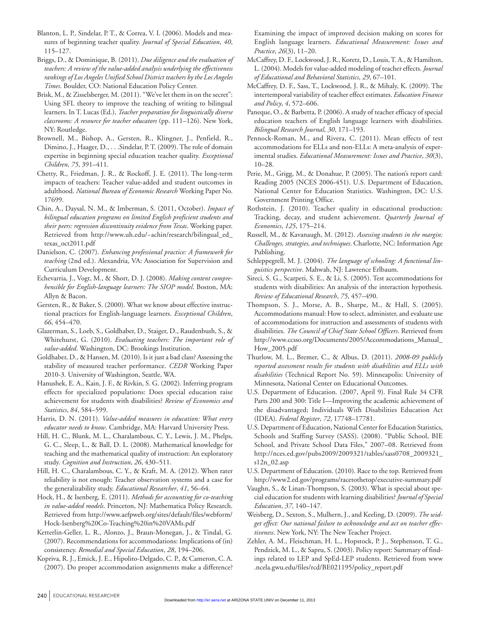- Blanton, L. P., Sindelar, P. T., & Correa, V. I. (2006). Models and measures of beginning teacher quality. *Journal of Special Education*, *40*, 115–127.
- Briggs, D., & Dominique, B. (2011). *Due diligence and the evaluation of teachers: A review of the value-added analysis underlying the effectiveness rankings of Los Angeles Unified School District teachers by the Los Angeles Times*. Boulder, CO: National Education Policy Center.
- Brisk, M., & Zisselsberger, M. (2011). "We've let them in on the secret": Using SFL theory to improve the teaching of writing to bilingual learners. In T. Lucas (Ed.), *Teacher preparation for linguistically diverse classrooms: A resource for teacher educators* (pp. 111–126). New York, NY: Routledge.
- Brownell, M., Bishop, A., Gersten, R., Klingner, J., Penfield, R., Dimino, J., Haager, D., . . .Sindelar, P. T. (2009). The role of domain expertise in beginning special education teacher quality. *Exceptional Children*, *75*, 391–411.
- Chetty, R., Friedman, J. R., & Rockoff, J. E. (2011). The long-term impacts of teachers: Teacher value-added and student outcomes in adulthood. *National Bureau of Economic Research* Working Paper No. 17699.
- Chin, A., Daysal, N. M., & Imberman, S. (2011, October). *Impact of bilingual education programs on limited English proficient students and their peers: regression discontinuity evidence from Texas*. Working paper. Retrieved from http://www.uh.edu/~achin/research/bilingual\_ed\_ texas\_oct2011.pdf
- Danielson, C. (2007). *Enhancing professional practice: A framework for teaching* (2nd ed.). Alexandria, VA: Association for Supervision and Curriculum Development.
- Echevarria, J., Vogt, M., & Short, D. J. (2008). *Making content comprehensible for English-language learners: The SIOP model*. Boston, MA: Allyn & Bacon.
- Gersten, R., & Baker, S. (2000). What we know about effective instructional practices for English-language learners. *Exceptional Children*, *66*, 454–470.
- Glazerman, S., Loeb, S., Goldhaber, D., Staiger, D., Raudenbush, S., & Whitehurst, G. (2010). *Evaluating teachers: The important role of value-added*. Washington, DC: Brookings Institution.
- Goldhaber, D., & Hansen, M. (2010). Is it just a bad class? Assessing the stability of measured teacher performance. *CEDR* Working Paper 2010-3. University of Washington, Seattle, WA.
- Hanushek, E. A., Kain, J. F., & Rivkin, S. G. (2002). Inferring program effects for specialized populations: Does special education raise achievement for students with disabilities? *Review of Economics and Statistics*, *84*, 584–599.
- Harris, D. N. (2011). *Value-added measures in education: What every educator needs to know*. Cambridge, MA: Harvard University Press.
- Hill, H. C., Blunk, M. L., Charalambous, C. Y., Lewis, J. M., Phelps, G. C., Sleep, L., & Ball, D. L. (2008). Mathematical knowledge for teaching and the mathematical quality of instruction: An exploratory study. *Cognition and Instruction*, *26*, 430–511.
- Hill, H. C., Charalambous, C. Y., & Kraft, M. A. (2012). When rater reliability is not enough: Teacher observation systems and a case for the generalizability study. *Educational Researcher*, *41*, 56–64.
- Hock, H., & Isenberg, E. (2011). *Methods for accounting for co-teaching in value-added models*. Princeton, NJ: Mathematica Policy Research. Retrieved from http://www.aefpweb.org/sites/default/files/webform/ Hock-Isenberg%20Co-Teaching%20in%20VAMs.pdf
- Ketterlin-Geller, L. R., Alonzo, J., Braun-Monegan, J., & Tindal, G. (2007). Recommendations for accommodations: Implications of (in) consistency. *Remedial and Special Education*, *28*, 194–206.
- Kopriva, R. J., Emick, J. E., Hipolito-Delgado, C. P., & Cameron, C. A. (2007). Do proper accommodation assignments make a difference?

Examining the impact of improved decision making on scores for English language learners. *Educational Measurement: Issues and Practice*, *26*(3), 11–20.

- McCaffrey, D. F., Lockwood, J. R., Koretz, D., Louis, T. A., & Hamilton, L. (2004). Models for value-added modeling of teacher effects. *Journal of Educational and Behavioral Statistics*, *29*, 67–101.
- McCaffrey, D. F., Sass, T., Lockwood, J. R., & Mihaly, K. (2009). The intertemporal variability of teacher effect estimates. *Education Finance and Policy*, *4*, 572–606.
- Paneque, O., & Barbetta, P. (2006). A study of teacher efficacy of special education teachers of English language learners with disabilities. *Bilingual Research Journal*, *30*, 171–193.
- Pennock-Roman, M., and Rivera, C. (2011). Mean effects of test accommodations for ELLs and non-ELLs: A meta-analysis of experimental studies. *Educational Measurement: Issues and Practice*, *30*(3), 10–28.
- Perie, M., Grigg, M., & Donahue, P. (2005). The nation's report card: Reading 2005 (NCES 2006-451). U.S. Department of Education, National Center for Education Statistics. Washington, DC: U.S. Government Printing Office.
- Rothstein, J. (2010). Teacher quality in educational production: Tracking, decay, and student achievement. *Quarterly Journal of Economics*, *125*, 175–214.
- Russell, M., & Kavanaugh, M. (2012). *Assessing students in the margin: Challenges, strategies, and techniques*. Charlotte, NC: Information Age Publishing.
- Schleppegrell, M. J. (2004). *The language of schooling: A functional linguistics perspective*. Mahwah, NJ: Lawrence Erlbaum.
- Sireci, S. G., Scarpeti, S. E., & Li, S. (2005). Test accommodations for students with disabilities: An analysis of the interaction hypothesis. *Review of Educational Research*, *75*, 457–490.
- Thompson, S. J., Morse, A. B., Sharpe, M., & Hall, S. (2005). Accommodations manual: How to select, administer, and evaluate use of accommodations for instruction and assessments of students with disabilities. *The Council of Chief State School Officers*. Retrieved from http://www.ccsso.org/Documents/2005/Accommodations\_Manual\_ How\_2005.pdf
- Thurlow, M. L., Bremer, C., & Albus, D. (2011). *2008-09 publicly reported assessment results for students with disabilities and ELLs with disabilities* (Technical Report No. 59). Minneapolis: University of Minnesota, National Center on Educational Outcomes.
- U.S. Department of Education. (2007, April 9). Final Rule 34 CFR Parts 200 and 300: Title I—Improving the academic achievement of the disadvantaged; Individuals With Disabilities Education Act (IDEA). *Federal Register*, *72*, 17748–17781.
- U.S. Department of Education, National Center for Education Statistics, Schools and Staffing Survey (SASS). (2008). "Public School, BIE School, and Private School Data Files," 2007–08. Retrieved from http://nces.ed.gov/pubs2009/2009321/tables/sass0708\_2009321\_ s12n\_02.asp
- U.S. Department of Education. (2010). Race to the top. Retrieved from http://www2.ed.gov/programs/racetothetop/executive-summary.pdf
- Vaughn, S., & Linan-Thompson, S. (2003). What is special about special education for students with learning disabilities? *Journal of Special Education*, *37*, 140–147.
- Weisberg, D., Sexton, S., Mulhern, J., and Keeling, D. (2009). *The widget effect: Our national failure to acknowledge and act on teacher effectiveness*. New York, NY: The New Teacher Project.
- Zehler, A. M., Fleischman, H. L., Hopstock, P. J., Stephenson, T. G., Pendzick, M. L., & Sapru, S. (2003). Policy report: Summary of findings related to LEP and SpEd-LEP students. Retrieved from www .ncela.gwu.edu/files/rcd/BE021195/policy\_report.pdf